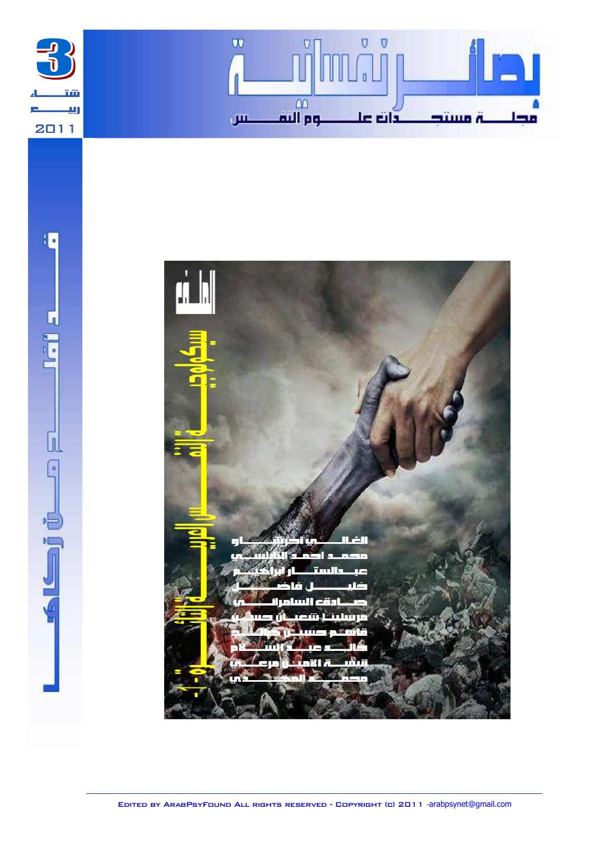





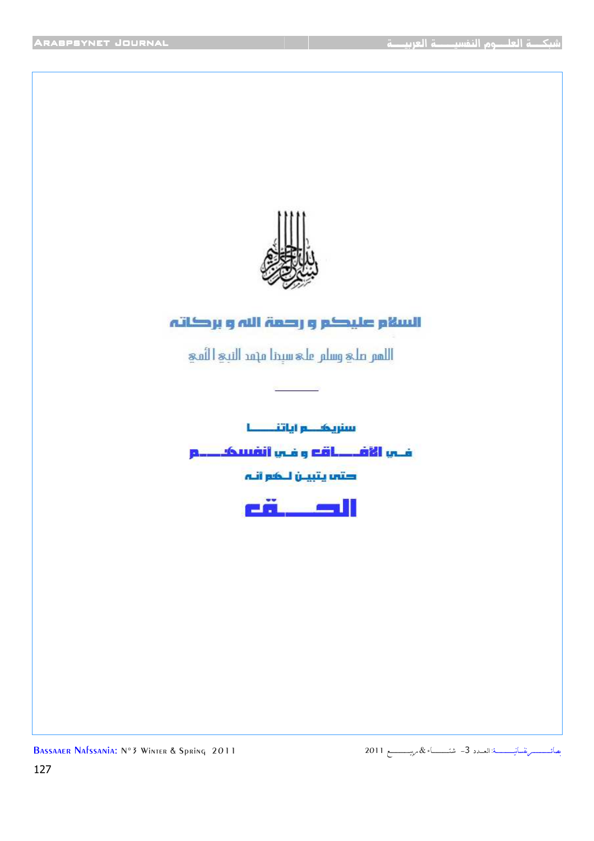

## السلام عليكم ورصمة الله ويركاته

اللمتر ملي وسلير ملي سيدنا مهمد النبي الثمي

سنريک و اياتنــــــا

فس الأفكاف وغي أنفسككم

' V

eň ÷

Bassaaer Nafssania: N°3 Winter & Spring 2011

 

 $\mathbf{I}$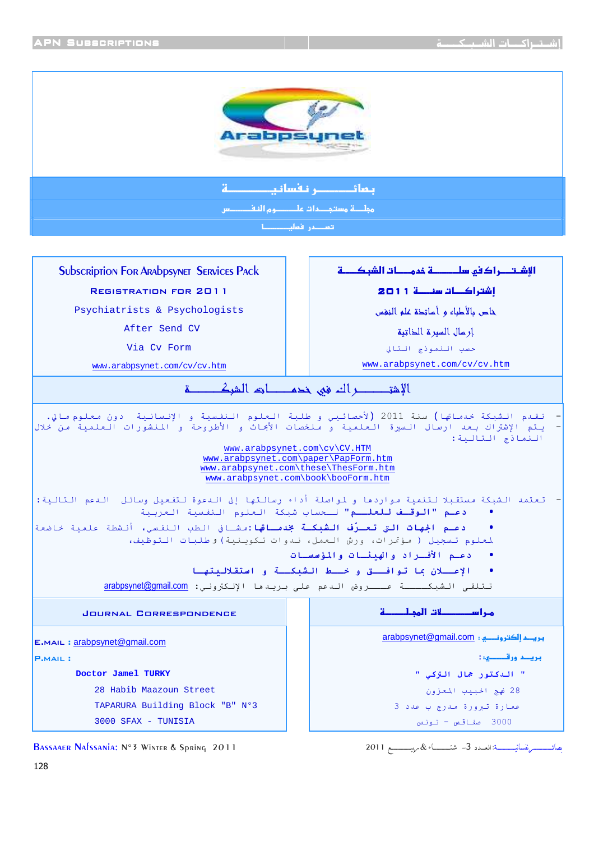

إرسال السبرة الخاتبة

حسب النموذج التالي

www.arabpsynet.com/cv/cv.htm

3000 صفاقس - تونس

Via Cy Form

www.arabpsynet.com/cv/cv.htm

.<br>تقدم الشبكة *خدم*اتها) سنة 2011 (لأحصائييي و طلبة العلوم النفسية و الإنسانية دون *مع*لوم *م*الي. يتم الإشتراك بعد ارسال السيرة العلمية و ملخصات الأبحاث و الأطروحة و المنشورات العلمية من خلال النماذج التالية: www.arabpsynet.com\cv\CV.HTM www.arabpsynet.com\paper\PapForm.htm www.arabpsynet.com\these\ThesForm.htm www.arabpsynet.com\book\booForm.htm – تعتمد الشبكة مستقبلا لتنمية مواردها و لمواصلة أداء رسالتها إلى الدعوة لتفعيل وسائل الدعم التالية: **دعـم "الوقـف للعلــم"** لـحساب شبكة العلوم النفسية العربية <mark>دعـم الجهات التي تعـرّف الشبكـة بخدمـاقها:</mark>مشـافي الطب النفسي، أنشطة علمية *خ*اضعة .<br>لمعلوم تسجيل ( مؤتمرات، ورش العمل، ندوات تكوينية)وطلبات التوظيف، دعـم الأفـراد والهنئـات والمؤسسـات  $\bullet$ الإعسلان بما توافستق وخسط الشبكسة و استقلالبتها تتلقى الشبكــــة عـــروض الدعم على بريدها الإلكتروني: arabpsynet@gmail.com **JOURNAL CORRESPONDENCE** مريحه إلكترونبي : arabpsynet@gmail.com E.MAIL: arabpsynet@gmail.com **P.MAIL:** Doctor Jamel TURKY " الدكتور جمال التزكي " 28 Habib Maazoun Street 28 نهج الحبيب المعزون TAPARURA Building Block "B" Nº3 عمارة تبرورة مدرج ب عدد 3

3000 SFAX - TUNISIA

BASSAAER NAFSSANIA: Nº 3 WINTER & Spring 2011

ىصائىسىسسىرىقسانيسىسسىة: العىدد 3- شتىسسىـــاء & مرسسىسىسىم 2011

128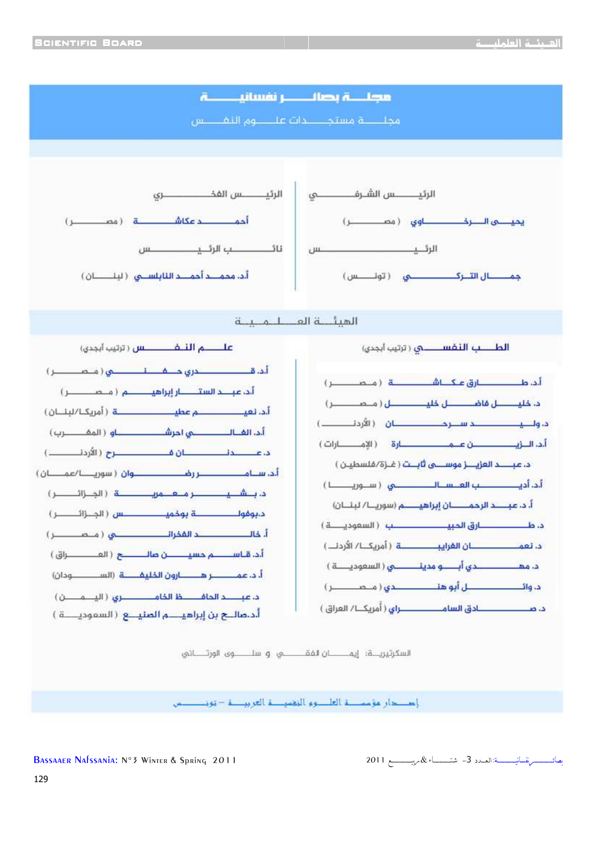

إصدار مؤسسة العاصو النقسية العربيسة – تونيسيس

BASSAAER NAFSSANIA: Nº 3 WINTER & SDRING 2011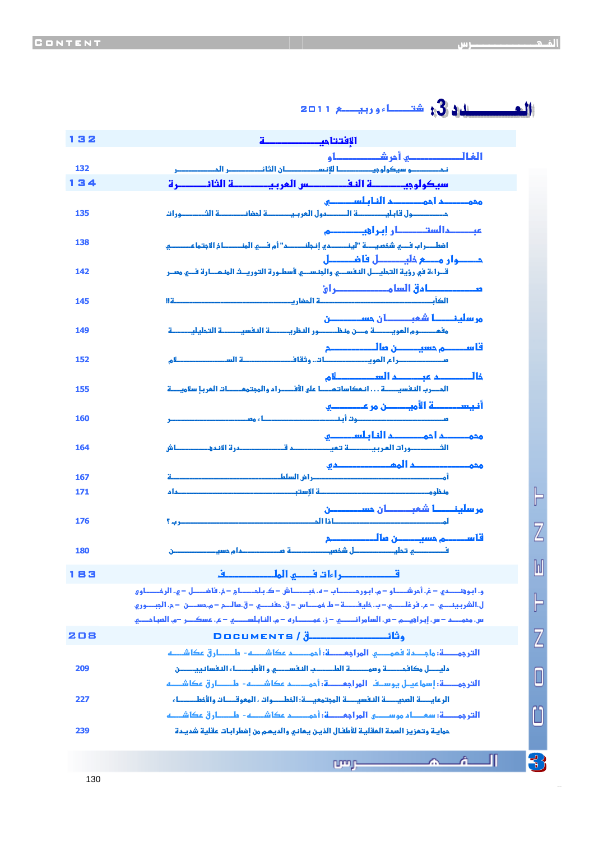| 132 |                                                                                                                                                                                                                                                    |                                                       |
|-----|----------------------------------------------------------------------------------------------------------------------------------------------------------------------------------------------------------------------------------------------------|-------------------------------------------------------|
|     | الفالــــــــــــــــــــــــــــ أمر <del>شـــــــــــــ</del> ــــا و                                                                                                                                                                            |                                                       |
| 132 | نحــــــــو سيكولوجيـــــــــــا للإنســـــــــان الثائـــــــــر المــــــــــور                                                                                                                                                                  |                                                       |
| 134 | سيكولوجيــــــــــــــــــــــــــــ المربيــــــــــــــــــــــــــــــــــرة                                                                                                                                                                    |                                                       |
| 135 | محمــــــــم أحمــــــــــــم الفا بـلســــــــــو<br>متستنسبول قابليستنسية التستندول العربيستنيسة لمغانيستنسة الشيستنورات                                                                                                                         |                                                       |
| 138 | عب حالست حال ابرا في حصو<br>أفعلـــراب فــــي شخصيـــــة "لينــــــــــــــري إنـجلنــــــــــر" أم فـــي المنــــــــــــاخ الخجتما عـــــــــــي                                                                                                 |                                                       |
| 142 | مــــوار مـــع فليــــــل فاضــــــل<br>قــراءة في رؤية التحليـــل النفســـي والجنـســـي لأسطـورة التوريــث المنـمـــارة فـــي مصـر                                                                                                                |                                                       |
| 145 | مـــــــــــــــا دق السا مـــــــــــــــــــر ايً<br>  2                                                                                                                                                                                         |                                                       |
| 149 | مر سلينــــــا شعبــــــــان حســـــــــــن                                                                                                                                                                                                        |                                                       |
| 152 |                                                                                                                                                                                                                                                    |                                                       |
| 155 | فالمصدعت عصدالسددالو<br>المسرب النفسيـــــــة انـمكاساتـمـــــا على الأفــــــراء والمجتممــــــات المربـإ سلاميـــــة                                                                                                                             |                                                       |
| 160 | أنيســـــة الأميـــــن مر عـــــــــــــ<br>L و مســـــــــ                                                                                                                                                                                        |                                                       |
| 164 | محمـــــــــم ا دمــــــــــــــم الفا بـلســــــــــو                                                                                                                                                                                             |                                                       |
| 167 |                                                                                                                                                                                                                                                    |                                                       |
| 171 |                                                                                                                                                                                                                                                    | F                                                     |
| 176 | مر سلينــــــــــا شفبـــــــــــان حســــــــــــــن<br><b>The Company</b>                                                                                                                                                                        |                                                       |
|     |                                                                                                                                                                                                                                                    |                                                       |
| 180 | حدام مست                                                                                                                                                                                                                                           | Inl                                                   |
| 183 | قصصصصص اءات فصر الملصصصصف                                                                                                                                                                                                                          |                                                       |
|     | ه، ابوقتـــده – غ. أمر شـــاو – م. ابور مـــــاب – ه. فبـــــاش – ک. بـلمــــاج – خ. فا فـــــل – ي. الرمُــــاو و<br>ل.الشر بـينـــــي  — ع. فر غلــــــي — ب. خليفـــــة — ط خمــــاس — ق. حفنــــي — ق.مالـــم — م. حســــن  — م. الجبـــو ر و. | ╞                                                     |
|     | س. مموضح – س. إبر أُؤيدِه – ص. السامر أنصب ع. – ز. عمصصار ه. – م. الفابلسيط ع. – ع. عسكن ر. –م. العباجضى                                                                                                                                           |                                                       |
| 208 | <u> DOCUMENTS / التي تي DOCUMENTS /</u><br>الترجمــــة: ما جـــدة فممــــــو المراجعـــــة: أحمـــــــد عكاشــــه-  طـــــار ق عكاشــــه                                                                                                           | Z                                                     |
| 209 | مليصل مكافحصة وموصصة الطصص النفسصى والأمابصاء النفسانييصض                                                                                                                                                                                          | $\Box$                                                |
|     | الترجمــــة: إسما عيـل يوسـف المراجعــــة: أحمــــــم عكاشــــه-  طـــــار ق عكاشـــه                                                                                                                                                              |                                                       |
| 227 | الرعايـــــة العميـــــــة النفسيــــــة المجتمعيــــة: الخطـــــوات ، المعوقــــات والأخطـــــــاء<br>الترجمــــة: سعـــام موســـــى المراجعـــــة: أحمــــــم عكاشــــه-  طـــــارق عكاشــــه                                                    |                                                       |
| 239 | ممايية وتعزيز العمة العقلية للأطفال الذين يعاني والديمم من إضطرابات عقلية شديدة                                                                                                                                                                    |                                                       |
|     | ղրոր                                                                                                                                                                                                                                               | $\left\{ \begin{matrix} 1 \\ 1 \end{matrix} \right\}$ |

الفرم المستنب

۔<br>دانش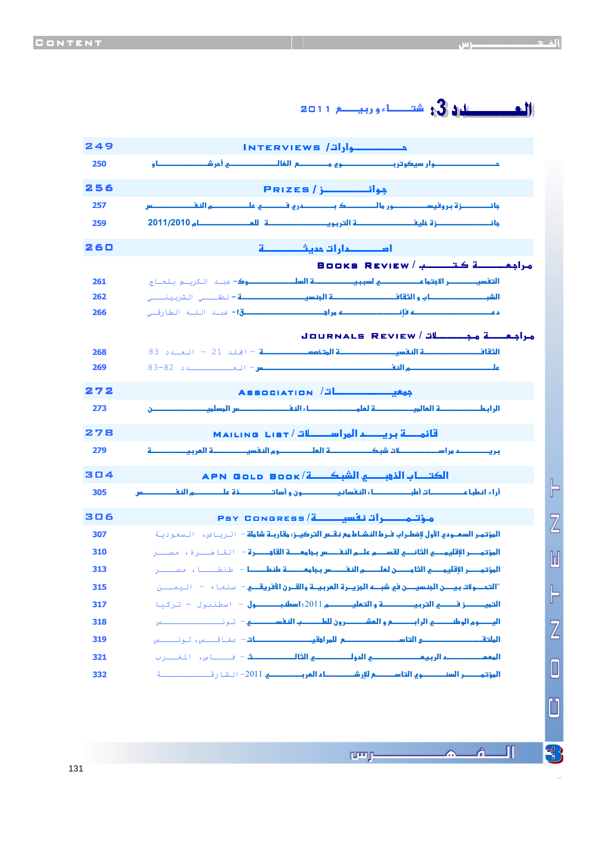وאא/ Interviews 249 وא وو( ? א; % و **250** وم المسلسلة المسلسلة المسلسلة المسلسلة المسلسلة المسلسلة المسلسلة المسلسلة المسلسلة المسلسلة المسلسلة المسلسلة <mark>جائــــــــــزة بر وفيس</mark> عدو ما المستقدم المستقدم و المستقدم الكورو الذي مستقدم المستقدم بورو مع الديورو المستقدم المستقدم الديورو المستق + ز6 אو מ **2011**/**2010 259** אدאאد 9 260  $B$ ooks Review / 1898  $\frac{1}{2}$ هرام  $\frac{1}{2}$ أأتقس אE السلك **ـــوك**- عليه الكرسيم بالحيام ج **261** א1وא9@א  **–** N#ـــ' ا81 ـــ ' **262** د W LWא: !ق **-** ـB ا\$ـd اN-رcـ' **266** Journals Review / "א א9@ א א – اf\$ 21 – ا%ـد 83  **268** מ א س–ا%ــــــــد 83-82 **269** 272 Association Association / אאط א Bאس א ن **<sup>273</sup>** قائمـــة بريـــــد المراســــــات / MAILING LIST دא " אوמא א **279** א1אذ:א/ Book ld Go APN 304 %אBאط%طBא  ونو% ذ6מאس **305** مۇتىمىسىرات نەسىسى<mark>ى</mark>ة/ Psy Congress <mark>(ئاسىسى</mark>ى) 306 <mark>المؤتمر السعـودي الأول لإضطـراب فـرط النشـاط مع نـقــس التـركيــز: مقاربـة شاملة - لــريــا ض، الـسعـو ديــة</mark> א)א\$- א9@ ממאسא@6:– ا-هــ1ة، (ــ1 **310** ا**لمؤتمـــر الإقليمــــــي الثامـــــــن لعلـــــــم النفــــــس بجامعـــــــة ط<mark>نـطـــــــــ</mark>ا = طنطــــــــا ، مـمـــــــــر** "אوE نא ن Wאز 6א وא@نא5 @– H-%ء – ا ــ? **315** א ز א وא מ2011 : א طول – اN ل - 1آ- **317** א وמאوط אא?وאونط1א – ـــــــــــb **318** א@ / א ? א:@ – H-#cــb، ـــb **319** א2دא אدوא9G –jـــ-س، ا0hــ1ب **321** <mark>المؤتمــــــر السنـــــــــــوي التاســـــــم للإرشـــــــــــاء الفربــــــــــــي 101</mark>– الـشا رقـــــــــــــــــــة

ن الله عن الله عن الله عن الله عن الله عن الله عن الله عن الله عن الله عن الله عن الله عن الله عن ال<br>والله عن الله عن الله عن الله عن الله عن الله عن الله عن الله عن الله عن الله عن الله عن الله عن الله عن الله <br>والله عن

**DOM N** 

40841241 6

 $\frac{1}{\sqrt{2}}$ 

Л

A.

 $\mathbb{F}$ 

Z

 $\mathbb{N}$ 

 $\vdash$ 

 $\overline{Z}$ 

O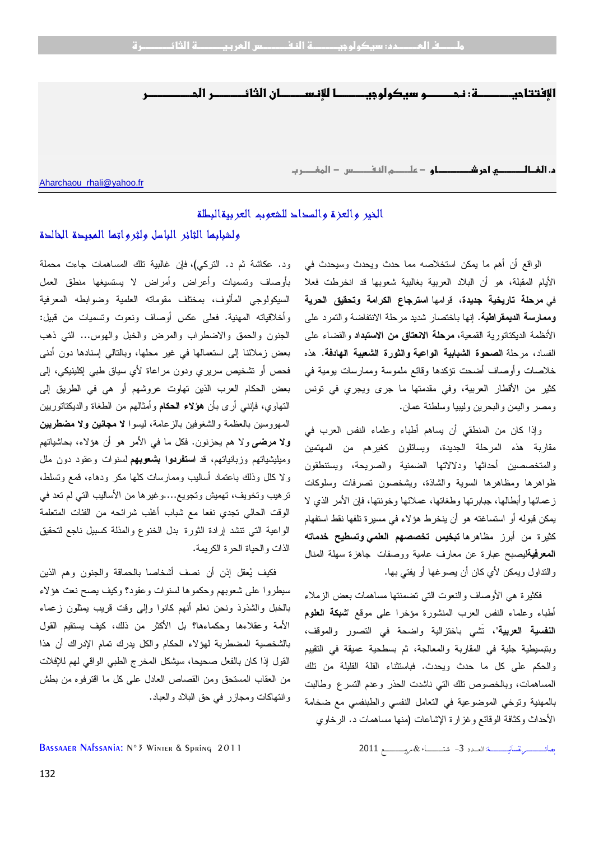

## الخير والعزة والسداد للشعوب العربيةالبطلة

## ولشبابها الثائر الباسل ولثرواتها المجيدة الخالدة

ود. عكاشة ثم د. التركي)، فإن غالبية تلك المساهمات جاءت محملة بأوصاف وتسميات وأعراض وأمراض لا يستسيغها منطق العمل السيكولوجي المألوف، بمختلف مقوماته العلمية وضوابطه المعرفية وأخلاقياته المهنية. فعلى عكس أوصاف ونعوت وتسميات من قبيل: الجنون والحمق والاضطراب والمرض والخبل والهوس... التي ذهب بعض زملائنا إلى استعمالها في غير محلها، وبالتالي إسنادها دون أدنى فحص أو تشخيص سريري ودون مراعاة لأي سياق طبي إكلينيكي، إلى بعض الحكام العرب الذين تهاوت عروشهم أو هي في الطريق إلى التهاوي، فإنني أرى ب أن **هؤلاء الحكام** وأمثالهم من الطغاة والديكتاتوريين المهووسين بالعظمة والشغوفين بالزعامة، ليسوا **لا مجانين ولا مضطربين ولا مرضى** ولا هم يحزنون. فكل ما في الأمر هو أن هؤلاء، بحاشياتهم وميليشياتهم وزبانياتهم، قد **استفردوا بشعوبهم** لسنوات وعقود دون ملل ولا كلل وذلك باعتماد أساليب وممارسات كلها مكر ودهاء، قمع وتسلط، ترهيب وتخويف، تهميش وتجويع....وغيرها من الأساليب التي لم تعد في الوقت الحالي تجدي نفعا مع شباب أغلب شرائحه من الفئات المتعلمة الواعية التي تنشد إرادة الثورة بدل الخنوع والمذلة كسبيل ناجع لتحقيق الذات والحياة الحرة الكريمة.

فكيف يعقل إذن أن نصف أشخاصا بالحماقة والجنون وهم الذين سيطروا على شعوبهم وحكموها لسنوات وعقود؟ وكيف يصح نعت هؤلاء بالخبل والشذوذ ونحن نعلم أنهم كانوا وإلى وقت قريب يمثلون زعماء الأمة وعقلاءها وحكماءها؟ بل الأكثر من ذلك، كيف يستقيم القول بالشخصية المضطربة لهؤلاء الحكام والكل يدرك تمام الإدراك أن هذا القول إذا كان بالفعل صحيحا، سيشكل المخرج الطبي الواقي لهم للإفلات من العقاب المستحق ومن القصاص العادل على كل ما اقترفوه من بطش وانتهاكات ومجازر في حق البلاد والعباد .

الواقع أن أهم ما يمكن استخلاصه مما حدث ويحدث وسيحدث في الأيام المقبلة، هو أن البلاد العربية بغالبية شعوبها قد انخرطت فعلا في **مرحلة تاريخية جديدة**، قوامها **استرجاع الكرامة وتحقيق الحرية وممارسة الديمقراطية**. إنها باختصار شديد مرحلة الانتفاضة والتمرد على الأنظمة الديكتاتورية القمعية ، **مرحلة الانعتاق من الاستبداد** والقضاء على الفساد، مرحلة **الصحوة الشبابية الواعية والثورة الشعبية الهادفة**. هذه خلاصات وأوصاف أضحت تؤكدها وقائع ملموسة وممارسات يومية في كثير من الأقطار العربية، وفي مقدمتها ما جرى ويجري في تونس ومصر واليمن والبحرين وليبيا وسلطنة عمان .

وإذا كان من المنطقي أن يساهم أطباء وعلماء النفس العرب في مقاربة هذه المرحلة الجديدة، ويسائلون كغيرهم من المهتمين والمتخصصين أحداثها ودلالاتها الضمنية والصريحة، ويستنطقون ظواهرها ومظاهرها السوية والشاذة، ويشخصون تصرفات وسلوكات زعمائها وأبطالها، جبابرتها وطغاتها، عملائها وخونتها، فإن الأمر الذي لا يمكن قبوله أو استساغته هو أن ينخرط هؤلاء في مسيرة تلفها نقط استفهام كثيرة من أبرز مظاهرها **تبخيس تخصصهم العلمي وتسطيح خدماته المعرفية**ليصبح عبارة عن معارف عامية ووصفات جاهزة سهلة المنال والتداول ويمكن لأي كان أن يصوغها أو يفتي بها .

فكثيرة هي الأوصاف والنعوت التي تضمنتها مساهمات بعض الزملاء أطباء وعلماء النفس العرب المنشورة مؤخرا على موقع "**شبكة العلوم النفسية العربية**"، تَشي باختزالية واضحة في التصور والموقف، وبتبسيطية جلية في المقاربة والمعالجة، ثم بسطحية عميقة في التقييم والحكم على كل ما حدث ويحدث. فباستثناء القلة القليلة من تلك المساهمات، وبالخصوص تلك التي ناشدت الحذر وعدم التسرع وطالبت بالمهنية وتوخي الموضوعية في التعامل النفسي والطبنفسي مع ضخامة الأحداث وكثافة الوقائع وغزارة الإشاعات ( منها مساهمات د. الرخاوي

 ـــــــــــــــــــ ــــــــــــــــــ:אـــــد3ـــــــــــــــــ&ــــــــــــــــــــ2011 2011 Spring & Winter °3N :Nafssania Bassaaer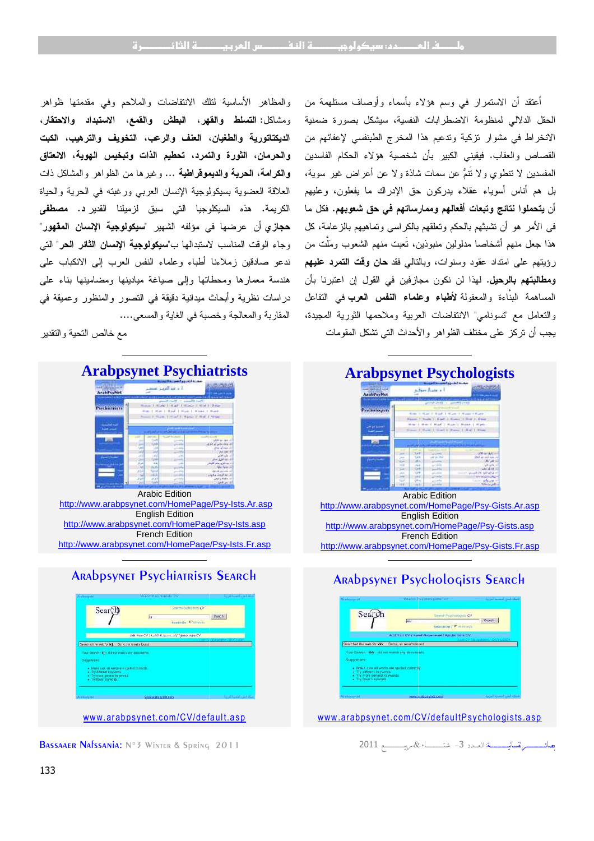والمظاهر الأساسية لتلك الانتفاضات والملاحم وفي مقدمتها ظواهر **التسلط والقهر، البطش والقمع، الاستبداد والاحتقار،**  ومشاكل : **الديكتاتورية والطغيان، العنف والرعب، التخويف والترهيب، الكبت لتمرد، تحطيم الذات وتبخيس الهوية، الانعتاق والحرمان، الثورة والتمرد، والكرامة، الحرية والديموقراطية ...** وغيرها من الظواهر والمشاكل ذات العلاقة العضوية بسيكولوجية الإنسان العربي ورغبته في الحرية والحياة الكريمة. هذه السيكلوجيا التي سبق لزميلنا القدير**د. مصطف***ى* **حجازي** أن عرضها في مؤلفه الشهير "**سيكولوجية الإنسان المقهور**" وجاء الوقت المناسب لاستبدالها ب"**سيكولوجية الإنسان الثائر الحر**" التي ندعو صادقين زملاءنا أطباء وعلماء النفس العرب إلى الانكباب على هندسة معمارها ومحطاتها وإلى صياغة ميادينها ومضامينها بناء على هندسة معمارها ومحطاتها وإلى صباغة ميادينها ومضامينها بناء على<br>دراسات نظرية وأبحاث ميدانية دقيقة في التصور والمنظور وعميقة في المقاربة والمعالجة وخصبة في الغاية والمسعى.... والمسعى

مع خالص التحية والتقدير



http://www.arabpsynet.com/HomePage/Psy-Ists.asp French Edition http://www.arabpsynet.com/HomePage/Psy http://www.arabpsynet.com/HomePage/Psy-Ists.Fr.asp



BASSAAER NAFSSANIA: Nº3 WINTER & Spring 2011

أعتقد أن الاستمرار في وسم هؤلاء بأسماء وأوصاف مستلهمة من الحقل الدلالي لمنظومة الاضطرابات النفسية، سيشكل بصورة ضمنية أعتقد أن الاستمرار في وسم هؤلاء بأسماء وأوصاف مستلهمة من<br>الحقل الدلالي لمنظومة الاضطرابات النفسية، سيشكل بصورة ضمنية<br>الانخراط في مشوار نزكية وتدعيم هذا المخرج الطبنفسي لإعفائهم من القصاص والعقاب. فيقيني الكبير بأن شخصية هؤلاء الحكام الفاسدين المفسدين لا تنطوي ولا تَنم عن سمات شاذة ولا عن أعراض غير سوية، بل هم أناس أسوياء عقلاء يدركون حق الإدراك ما يفعلون، وعليهم أن **يتحملوا نتائج وتبعات أفعالهم وممارساتهم في حق شعوبهم.** فكل ما في الأمر هو أن تشبثهم بالحكم وتعلقهم بالكراسي وتماهيهم بالزعامة، كل هذا جعل منهم أشخاصا مدلولين منبوذين، تَعبت منهم الشعوب وملَّت من في الأمر هو أن تشبثهم بالحكم وتعلقهم بالكراسي وتماهيهم بالزعامة، كل<br>هذا جعل منهم أشخاصـا مدلولين منبوذين، تُعبت منهم الشعوب وملَّت من<br>رؤيتهم علـى امتداد عقود وسنوات، وبالنالـى فقد **حان وقت التمرد عليهم ومطالبتهم بالرحيل.** لهذا لن نكون مجازفين في القول إن اعتبرنا بأن **ومطالبتهم بالرحيل.** لهذا لن نكون مجازفين في القول إن اعتبرنا بأن<br>المساهمة البنَّاءة والمعقولة **لأطباء وعلماء النفس العرب** في التفاعل والتعامل مع "تسونامي" الانتفاضات العربية وملاحمها الثورية المجيدة، والتعامل مع "تسونامي" الانتفاضات العربية وملاحمها الثورية المج<u>ب</u><br>يجب أن تركز على مختلف الظواهر والأحداث التي تشكل المقومات القصاص والعقاب. فيقيني الكبير بأن شخصية هؤلاء الحكاء<br>المفسدين لا نتطوي ولا نَتمُّ عن سمات شاذة ولا عن أعراض ذ<br>بل هم أناس أسوياء عقلاء بدركون حق الإدراك ما يفعلون<br>أن **يتحملوا نتائج وتبعات أفعاله**م **وممارساتهم في حق شعوبه** 



## and the state of the state of the state of



www .arabpsynet.com/C V/defaultPsychologists.asp ww w.arabpsynet.com/CV/defaul tPsychologi sts.asp

2011ــــــــــــــــــــ&  ـــــــــــــــــــ ــــــــــــــــــ:אـــــد<sup>3</sup>ـــــــــــــــــ